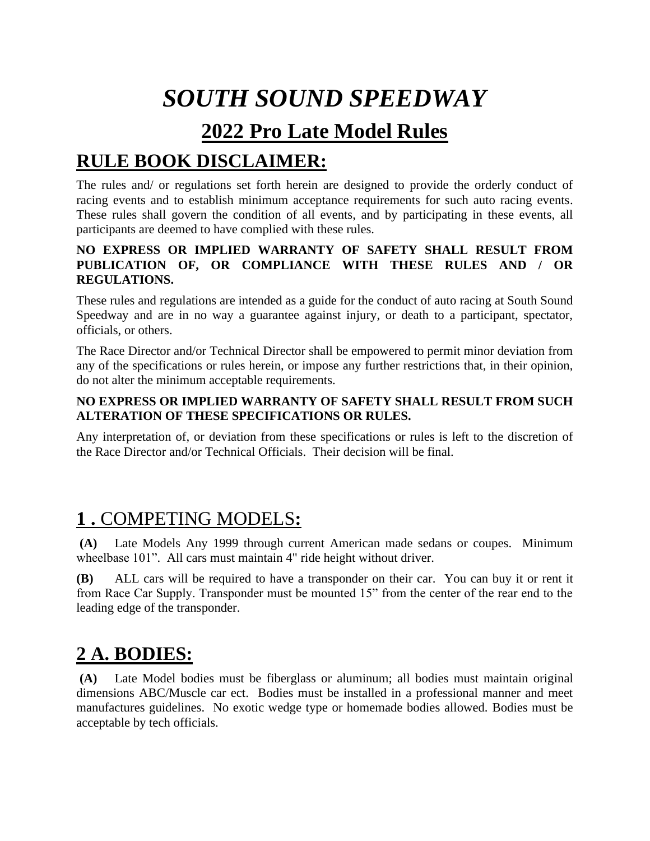# *SOUTH SOUND SPEEDWAY*

## **2022 Pro Late Model Rules**

## **RULE BOOK DISCLAIMER:**

The rules and/ or regulations set forth herein are designed to provide the orderly conduct of racing events and to establish minimum acceptance requirements for such auto racing events. These rules shall govern the condition of all events, and by participating in these events, all participants are deemed to have complied with these rules.

#### **NO EXPRESS OR IMPLIED WARRANTY OF SAFETY SHALL RESULT FROM PUBLICATION OF, OR COMPLIANCE WITH THESE RULES AND / OR REGULATIONS.**

These rules and regulations are intended as a guide for the conduct of auto racing at South Sound Speedway and are in no way a guarantee against injury, or death to a participant, spectator, officials, or others.

The Race Director and/or Technical Director shall be empowered to permit minor deviation from any of the specifications or rules herein, or impose any further restrictions that, in their opinion, do not alter the minimum acceptable requirements.

#### **NO EXPRESS OR IMPLIED WARRANTY OF SAFETY SHALL RESULT FROM SUCH ALTERATION OF THESE SPECIFICATIONS OR RULES.**

Any interpretation of, or deviation from these specifications or rules is left to the discretion of the Race Director and/or Technical Officials. Their decision will be final.

### **1 .** COMPETING MODELS**:**

**(A)** Late Models Any 1999 through current American made sedans or coupes. Minimum wheelbase 101". All cars must maintain 4" ride height without driver.

**(B)** ALL cars will be required to have a transponder on their car. You can buy it or rent it from Race Car Supply. Transponder must be mounted 15" from the center of the rear end to the leading edge of the transponder.

# **2 A. BODIES:**

**(A)** Late Model bodies must be fiberglass or aluminum; all bodies must maintain original dimensions ABC/Muscle car ect. Bodies must be installed in a professional manner and meet manufactures guidelines. No exotic wedge type or homemade bodies allowed. Bodies must be acceptable by tech officials.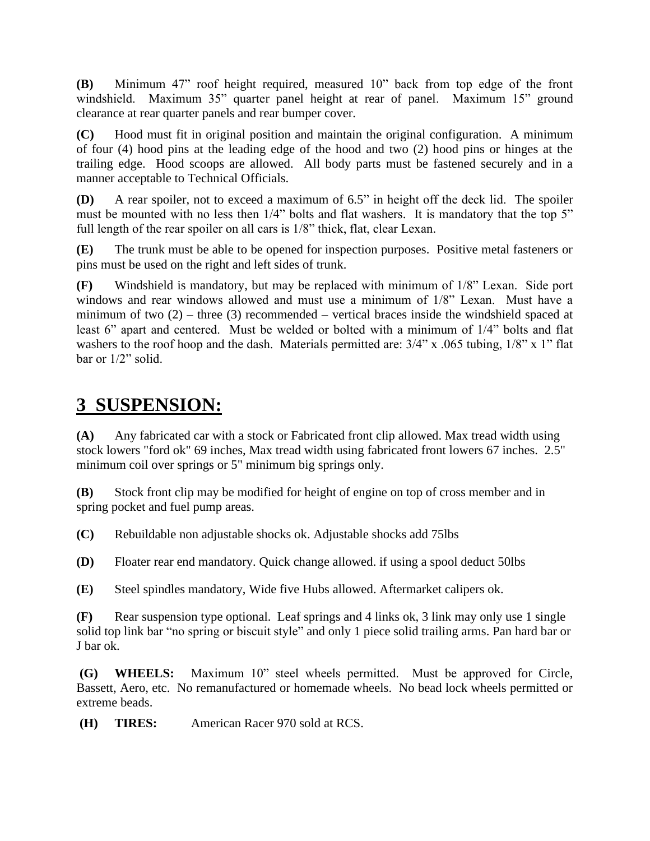**(B)** Minimum 47" roof height required, measured 10" back from top edge of the front windshield. Maximum 35" quarter panel height at rear of panel. Maximum 15" ground clearance at rear quarter panels and rear bumper cover.

**(C)** Hood must fit in original position and maintain the original configuration. A minimum of four (4) hood pins at the leading edge of the hood and two (2) hood pins or hinges at the trailing edge. Hood scoops are allowed. All body parts must be fastened securely and in a manner acceptable to Technical Officials.

**(D)** A rear spoiler, not to exceed a maximum of 6.5" in height off the deck lid. The spoiler must be mounted with no less then  $1/4$ " bolts and flat washers. It is mandatory that the top 5" full length of the rear spoiler on all cars is 1/8" thick, flat, clear Lexan.

**(E)** The trunk must be able to be opened for inspection purposes. Positive metal fasteners or pins must be used on the right and left sides of trunk.

**(F)** Windshield is mandatory, but may be replaced with minimum of 1/8" Lexan. Side port windows and rear windows allowed and must use a minimum of 1/8" Lexan. Must have a minimum of two  $(2)$  – three  $(3)$  recommended – vertical braces inside the windshield spaced at least 6" apart and centered. Must be welded or bolted with a minimum of 1/4" bolts and flat washers to the roof hoop and the dash. Materials permitted are:  $3/4$ " x .065 tubing,  $1/8$ " x 1" flat bar or 1/2" solid.

### **3 SUSPENSION:**

**(A)** Any fabricated car with a stock or Fabricated front clip allowed. Max tread width using stock lowers "ford ok" 69 inches, Max tread width using fabricated front lowers 67 inches. 2.5" minimum coil over springs or 5" minimum big springs only.

**(B)** Stock front clip may be modified for height of engine on top of cross member and in spring pocket and fuel pump areas.

**(C)** Rebuildable non adjustable shocks ok. Adjustable shocks add 75lbs

**(D)** Floater rear end mandatory. Quick change allowed. if using a spool deduct 50lbs

**(E)** Steel spindles mandatory, Wide five Hubs allowed. Aftermarket calipers ok.

**(F)** Rear suspension type optional. Leaf springs and 4 links ok, 3 link may only use 1 single solid top link bar "no spring or biscuit style" and only 1 piece solid trailing arms. Pan hard bar or J bar ok.

**(G) WHEELS:** Maximum 10" steel wheels permitted. Must be approved for Circle, Bassett, Aero, etc. No remanufactured or homemade wheels. No bead lock wheels permitted or extreme beads.

**(H) TIRES:** American Racer 970 sold at RCS.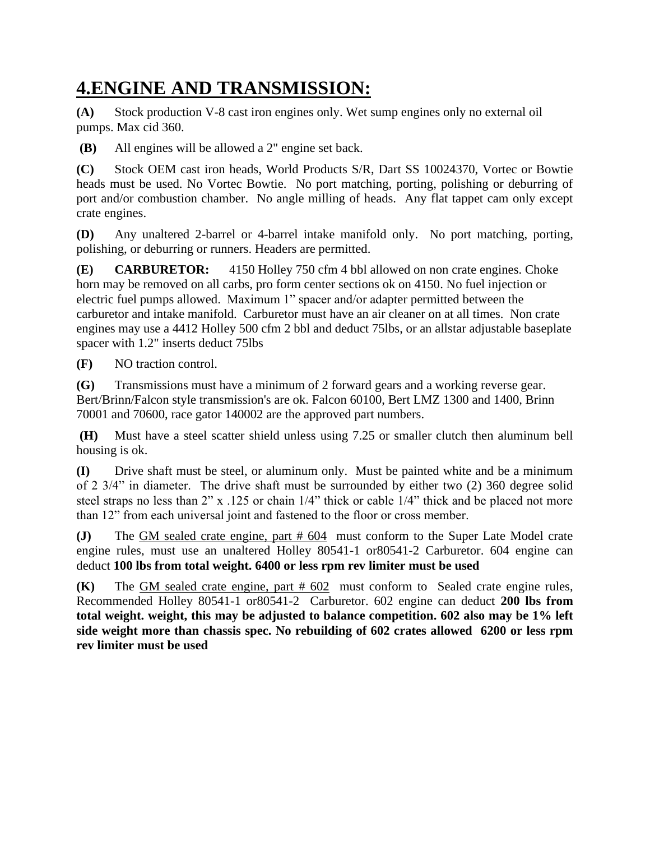# **4.ENGINE AND TRANSMISSION:**

**(A)** Stock production V-8 cast iron engines only. Wet sump engines only no external oil pumps. Max cid 360.

**(B)** All engines will be allowed a 2" engine set back.

**(C)** Stock OEM cast iron heads, World Products S/R, Dart SS 10024370, Vortec or Bowtie heads must be used. No Vortec Bowtie. No port matching, porting, polishing or deburring of port and/or combustion chamber. No angle milling of heads. Any flat tappet cam only except crate engines.

**(D)** Any unaltered 2-barrel or 4-barrel intake manifold only. No port matching, porting, polishing, or deburring or runners. Headers are permitted.

**(E) CARBURETOR:** 4150 Holley 750 cfm 4 bbl allowed on non crate engines. Choke horn may be removed on all carbs, pro form center sections ok on 4150. No fuel injection or electric fuel pumps allowed. Maximum 1" spacer and/or adapter permitted between the carburetor and intake manifold. Carburetor must have an air cleaner on at all times. Non crate engines may use a 4412 Holley 500 cfm 2 bbl and deduct 75lbs, or an allstar adjustable baseplate spacer with 1.2" inserts deduct 75lbs

**(F)** NO traction control.

**(G)** Transmissions must have a minimum of 2 forward gears and a working reverse gear. Bert/Brinn/Falcon style transmission's are ok. Falcon 60100, Bert LMZ 1300 and 1400, Brinn 70001 and 70600, race gator 140002 are the approved part numbers.

**(H)** Must have a steel scatter shield unless using 7.25 or smaller clutch then aluminum bell housing is ok.

**(I)** Drive shaft must be steel, or aluminum only. Must be painted white and be a minimum of 2 3/4" in diameter. The drive shaft must be surrounded by either two (2) 360 degree solid steel straps no less than 2" x .125 or chain 1/4" thick or cable 1/4" thick and be placed not more than 12" from each universal joint and fastened to the floor or cross member.

**(J)** The GM sealed crate engine, part # 604 must conform to the Super Late Model crate engine rules, must use an unaltered Holley 80541-1 or80541-2 Carburetor. 604 engine can deduct **100 lbs from total weight. 6400 or less rpm rev limiter must be used**

**(K)** The GM sealed crate engine, part # 602 must conform to Sealed crate engine rules, Recommended Holley 80541-1 or80541-2 Carburetor. 602 engine can deduct **200 lbs from total weight. weight, this may be adjusted to balance competition. 602 also may be 1% left side weight more than chassis spec. No rebuilding of 602 crates allowed 6200 or less rpm rev limiter must be used**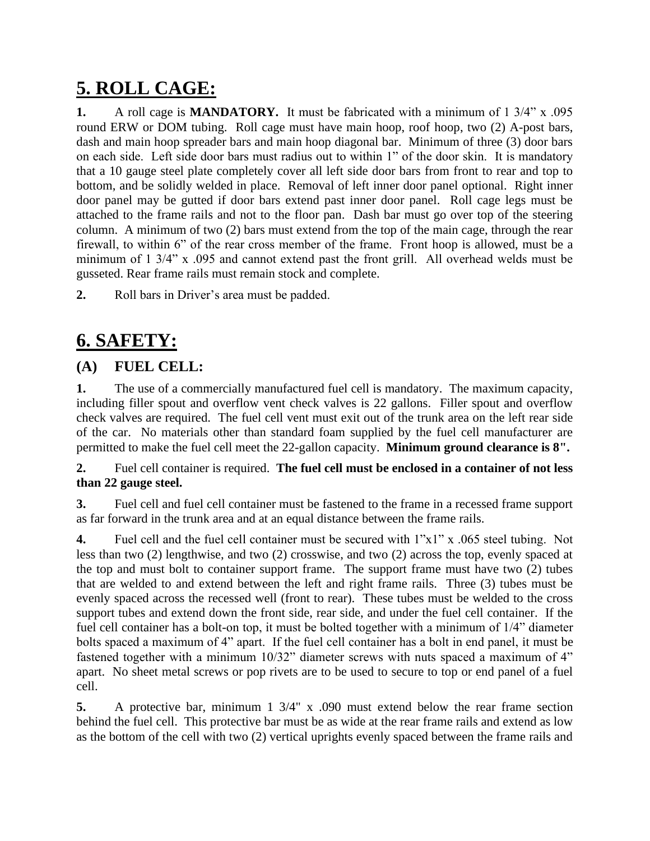# **5. ROLL CAGE:**

**1.** A roll cage is **MANDATORY.** It must be fabricated with a minimum of 1 3/4" x .095 round ERW or DOM tubing. Roll cage must have main hoop, roof hoop, two (2) A-post bars, dash and main hoop spreader bars and main hoop diagonal bar. Minimum of three (3) door bars on each side. Left side door bars must radius out to within 1" of the door skin. It is mandatory that a 10 gauge steel plate completely cover all left side door bars from front to rear and top to bottom, and be solidly welded in place. Removal of left inner door panel optional. Right inner door panel may be gutted if door bars extend past inner door panel. Roll cage legs must be attached to the frame rails and not to the floor pan. Dash bar must go over top of the steering column. A minimum of two (2) bars must extend from the top of the main cage, through the rear firewall, to within 6" of the rear cross member of the frame. Front hoop is allowed, must be a minimum of 1 3/4" x .095 and cannot extend past the front grill. All overhead welds must be gusseted. Rear frame rails must remain stock and complete.

**2.** Roll bars in Driver's area must be padded.

# **6. SAFETY:**

### **(A) FUEL CELL:**

**1.** The use of a commercially manufactured fuel cell is mandatory. The maximum capacity, including filler spout and overflow vent check valves is 22 gallons. Filler spout and overflow check valves are required. The fuel cell vent must exit out of the trunk area on the left rear side of the car. No materials other than standard foam supplied by the fuel cell manufacturer are permitted to make the fuel cell meet the 22-gallon capacity. **Minimum ground clearance is 8".**

**2.** Fuel cell container is required. **The fuel cell must be enclosed in a container of not less than 22 gauge steel.**

**3.** Fuel cell and fuel cell container must be fastened to the frame in a recessed frame support as far forward in the trunk area and at an equal distance between the frame rails.

**4.** Fuel cell and the fuel cell container must be secured with 1"x1" x .065 steel tubing. Not less than two (2) lengthwise, and two (2) crosswise, and two (2) across the top, evenly spaced at the top and must bolt to container support frame. The support frame must have two (2) tubes that are welded to and extend between the left and right frame rails. Three (3) tubes must be evenly spaced across the recessed well (front to rear). These tubes must be welded to the cross support tubes and extend down the front side, rear side, and under the fuel cell container. If the fuel cell container has a bolt-on top, it must be bolted together with a minimum of 1/4" diameter bolts spaced a maximum of 4" apart. If the fuel cell container has a bolt in end panel, it must be fastened together with a minimum 10/32" diameter screws with nuts spaced a maximum of 4" apart. No sheet metal screws or pop rivets are to be used to secure to top or end panel of a fuel cell.

**5.** A protective bar, minimum 1 3/4" x .090 must extend below the rear frame section behind the fuel cell. This protective bar must be as wide at the rear frame rails and extend as low as the bottom of the cell with two (2) vertical uprights evenly spaced between the frame rails and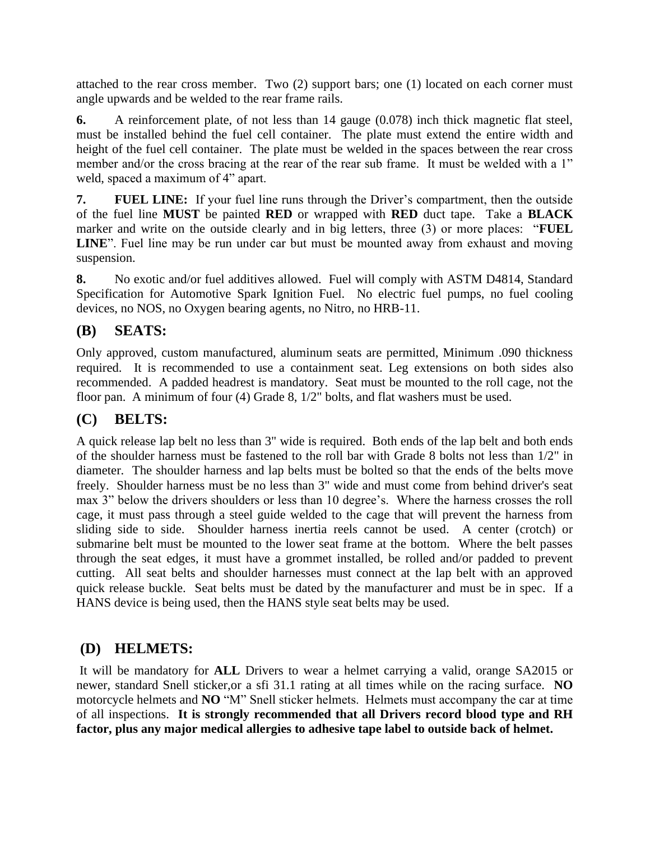attached to the rear cross member. Two (2) support bars; one (1) located on each corner must angle upwards and be welded to the rear frame rails.

**6.** A reinforcement plate, of not less than 14 gauge (0.078) inch thick magnetic flat steel, must be installed behind the fuel cell container. The plate must extend the entire width and height of the fuel cell container. The plate must be welded in the spaces between the rear cross member and/or the cross bracing at the rear of the rear sub frame. It must be welded with a 1" weld, spaced a maximum of 4" apart.

**7. FUEL LINE:** If your fuel line runs through the Driver's compartment, then the outside of the fuel line **MUST** be painted **RED** or wrapped with **RED** duct tape. Take a **BLACK** marker and write on the outside clearly and in big letters, three (3) or more places: "**FUEL LINE**". Fuel line may be run under car but must be mounted away from exhaust and moving suspension.

**8.** No exotic and/or fuel additives allowed. Fuel will comply with ASTM D4814, Standard Specification for Automotive Spark Ignition Fuel. No electric fuel pumps, no fuel cooling devices, no NOS, no Oxygen bearing agents, no Nitro, no HRB-11.

### **(B) SEATS:**

Only approved, custom manufactured, aluminum seats are permitted, Minimum .090 thickness required. It is recommended to use a containment seat. Leg extensions on both sides also recommended. A padded headrest is mandatory. Seat must be mounted to the roll cage, not the floor pan. A minimum of four (4) Grade 8, 1/2" bolts, and flat washers must be used.

### **(C) BELTS:**

A quick release lap belt no less than 3" wide is required. Both ends of the lap belt and both ends of the shoulder harness must be fastened to the roll bar with Grade 8 bolts not less than 1/2" in diameter. The shoulder harness and lap belts must be bolted so that the ends of the belts move freely. Shoulder harness must be no less than 3" wide and must come from behind driver's seat max 3" below the drivers shoulders or less than 10 degree's. Where the harness crosses the roll cage, it must pass through a steel guide welded to the cage that will prevent the harness from sliding side to side. Shoulder harness inertia reels cannot be used. A center (crotch) or submarine belt must be mounted to the lower seat frame at the bottom. Where the belt passes through the seat edges, it must have a grommet installed, be rolled and/or padded to prevent cutting. All seat belts and shoulder harnesses must connect at the lap belt with an approved quick release buckle. Seat belts must be dated by the manufacturer and must be in spec. If a HANS device is being used, then the HANS style seat belts may be used.

### **(D) HELMETS:**

It will be mandatory for **ALL** Drivers to wear a helmet carrying a valid, orange SA2015 or newer, standard Snell sticker,or a sfi 31.1 rating at all times while on the racing surface. **NO** motorcycle helmets and **NO** "M" Snell sticker helmets. Helmets must accompany the car at time of all inspections. **It is strongly recommended that all Drivers record blood type and RH factor, plus any major medical allergies to adhesive tape label to outside back of helmet.**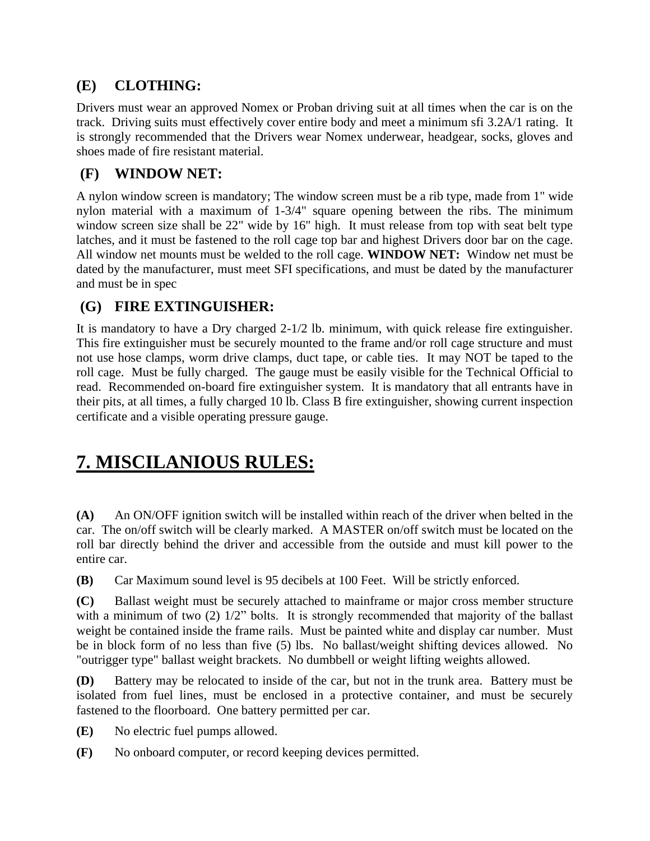### **(E) CLOTHING:**

Drivers must wear an approved Nomex or Proban driving suit at all times when the car is on the track. Driving suits must effectively cover entire body and meet a minimum sfi 3.2A/1 rating. It is strongly recommended that the Drivers wear Nomex underwear, headgear, socks, gloves and shoes made of fire resistant material.

### **(F) WINDOW NET:**

A nylon window screen is mandatory; The window screen must be a rib type, made from 1" wide nylon material with a maximum of 1-3/4" square opening between the ribs. The minimum window screen size shall be 22" wide by 16" high. It must release from top with seat belt type latches, and it must be fastened to the roll cage top bar and highest Drivers door bar on the cage. All window net mounts must be welded to the roll cage. **WINDOW NET:** Window net must be dated by the manufacturer, must meet SFI specifications, and must be dated by the manufacturer and must be in spec

### **(G) FIRE EXTINGUISHER:**

It is mandatory to have a Dry charged 2-1/2 lb. minimum, with quick release fire extinguisher. This fire extinguisher must be securely mounted to the frame and/or roll cage structure and must not use hose clamps, worm drive clamps, duct tape, or cable ties. It may NOT be taped to the roll cage. Must be fully charged. The gauge must be easily visible for the Technical Official to read. Recommended on-board fire extinguisher system. It is mandatory that all entrants have in their pits, at all times, a fully charged 10 lb. Class B fire extinguisher, showing current inspection certificate and a visible operating pressure gauge.

### **7. MISCILANIOUS RULES:**

**(A)** An ON/OFF ignition switch will be installed within reach of the driver when belted in the car. The on/off switch will be clearly marked. A MASTER on/off switch must be located on the roll bar directly behind the driver and accessible from the outside and must kill power to the entire car.

**(B)** Car Maximum sound level is 95 decibels at 100 Feet. Will be strictly enforced.

**(C)** Ballast weight must be securely attached to mainframe or major cross member structure with a minimum of two (2)  $1/2$ " bolts. It is strongly recommended that majority of the ballast weight be contained inside the frame rails. Must be painted white and display car number. Must be in block form of no less than five (5) lbs. No ballast/weight shifting devices allowed. No "outrigger type" ballast weight brackets. No dumbbell or weight lifting weights allowed.

**(D)** Battery may be relocated to inside of the car, but not in the trunk area. Battery must be isolated from fuel lines, must be enclosed in a protective container, and must be securely fastened to the floorboard. One battery permitted per car.

**(E)** No electric fuel pumps allowed.

**(F)** No onboard computer, or record keeping devices permitted.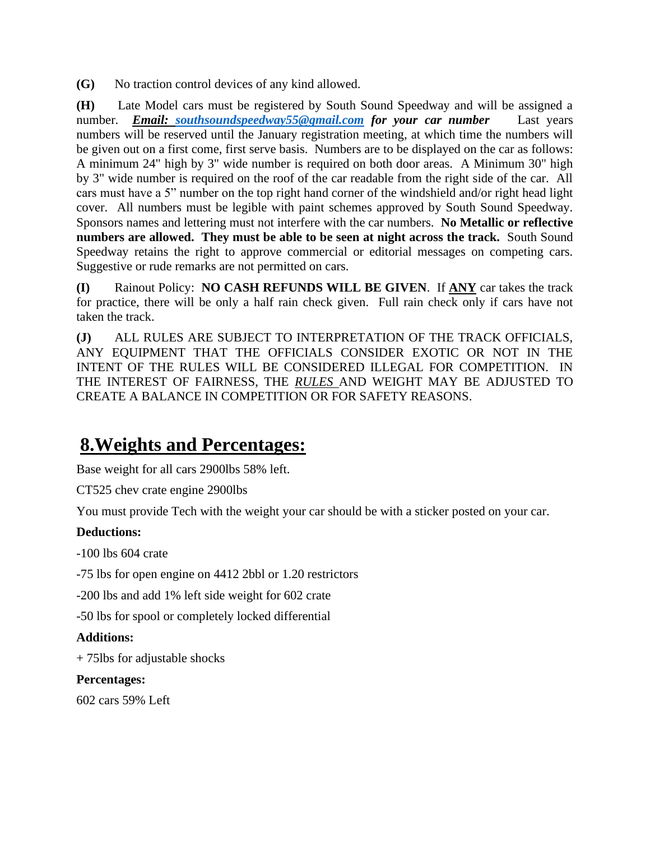**(G)** No traction control devices of any kind allowed.

**(H)** Late Model cars must be registered by South Sound Speedway and will be assigned a number. *Email: [southsoundspeedway55@gmail.com](mailto:southsoundspeedway55@gmail.com) for your car number* Last years numbers will be reserved until the January registration meeting, at which time the numbers will be given out on a first come, first serve basis. Numbers are to be displayed on the car as follows: A minimum 24" high by 3" wide number is required on both door areas. A Minimum 30" high by 3" wide number is required on the roof of the car readable from the right side of the car. All cars must have a 5" number on the top right hand corner of the windshield and/or right head light cover. All numbers must be legible with paint schemes approved by South Sound Speedway. Sponsors names and lettering must not interfere with the car numbers. **No Metallic or reflective numbers are allowed. They must be able to be seen at night across the track.** South Sound Speedway retains the right to approve commercial or editorial messages on competing cars. Suggestive or rude remarks are not permitted on cars.

**(I)** Rainout Policy: **NO CASH REFUNDS WILL BE GIVEN**. If **ANY** car takes the track for practice, there will be only a half rain check given. Full rain check only if cars have not taken the track.

**(J)** ALL RULES ARE SUBJECT TO INTERPRETATION OF THE TRACK OFFICIALS, ANY EQUIPMENT THAT THE OFFICIALS CONSIDER EXOTIC OR NOT IN THE INTENT OF THE RULES WILL BE CONSIDERED ILLEGAL FOR COMPETITION. IN THE INTEREST OF FAIRNESS, THE *RULES* AND WEIGHT MAY BE ADJUSTED TO CREATE A BALANCE IN COMPETITION OR FOR SAFETY REASONS.

### **8.Weights and Percentages:**

Base weight for all cars 2900lbs 58% left.

CT525 chev crate engine 2900lbs

You must provide Tech with the weight your car should be with a sticker posted on your car.

#### **Deductions:**

-100 lbs 604 crate

-75 lbs for open engine on 4412 2bbl or 1.20 restrictors

-200 lbs and add 1% left side weight for 602 crate

-50 lbs for spool or completely locked differential

#### **Additions:**

+ 75lbs for adjustable shocks

#### **Percentages:**

602 cars 59% Left